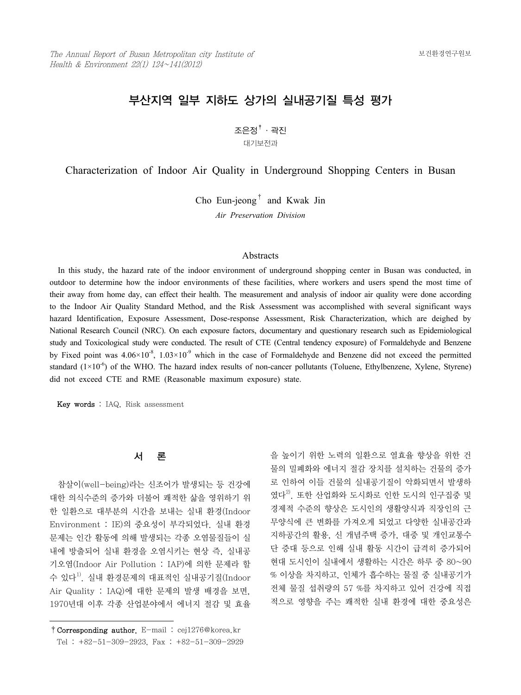# 부산지역 일부 지하도 상가의 실내공기질 특성 평가

 $\Sigma$ 은정 $^\dagger$  · 곽진 대기보전과

Characterization of Indoor Air Quality in Underground Shopping Centers in Busan

Cho Eun-jeong† and Kwak Jin

*Air Preservation Division*

# Abstracts

 In this study, the hazard rate of the indoor environment of underground shopping center in Busan was conducted, in outdoor to determine how the indoor environments of these facilities, where workers and users spend the most time of their away from home day, can effect their health. The measurement and analysis of indoor air quality were done according to the Indoor Air Quality Standard Method, and the Risk Assessment was accomplished with several significant ways hazard Identification, Exposure Assessment, Dose-response Assessment, Risk Characterization, which are deighed by National Research Council (NRC). On each exposure factors, documentary and questionary research such as Epidemiological study and Toxicological study were conducted. The result of CTE (Central tendency exposure) of Formaldehyde and Benzene by Fixed point was  $4.06\times10^{-8}$ ,  $1.03\times10^{-9}$  which in the case of Formaldehyde and Benzene did not exceed the permitted standard  $(1\times10^{-6})$  of the WHO. The hazard index results of non-cancer pollutants (Toluene, Ethylbenzene, Xylene, Styrene) did not exceed CTE and RME (Reasonable maximum exposure) state.

Key words : IAQ, Risk assessment

#### 서 론

 참살이(well-being)라는 신조어가 발생되는 등 건강에 대한 의식수준의 증가와 더불어 쾌적한 삶을 영위하기 위 한 일환으로 대부분의 시간을 보내는 실내 환경(Indoor Environment : IE)의 중요성이 부각되었다. 실내 환경 문제는 인간 활동에 의해 발생되는 각종 오염물질들이 실 내에 방출되어 실내 환경을 오염시키는 현상 즉, 실내공 기오염(Indoor Air Pollution : IAP)에 의한 문제라 할 수 있다 $^{1)}$ . 실내 환경문제의 대표적인 실내공기질(Indoor Air Quality : IAQ)에 대한 문제의 발생 배경을 보면, 1970년대 이후 각종 산업분야에서 에너지 절감 및 효율

을 높이기 위한 노력의 일환으로 열효율 향상을 위한 건 물의 밀폐화와 에너지 절감 장치를 설치하는 건물의 증가 로 인하여 이들 건물의 실내공기질이 악화되면서 발생하 였다 $^{2)}$ . 또한 산업화와 도시화로 인한 도시의 인구집중 및 경제적 수준의 향상은 도시인의 생활양식과 직장인의 근 무양식에 큰 변화를 가져오게 되었고 다양한 실내공간과 지하공간의 활용, 신 개념주택 증가, 대중 및 개인교통수 단 증대 등으로 인해 실내 활동 시간이 급격히 증가되어 현대 도시인이 실내에서 생활하는 시간은 하루 중 80~90 % 이상을 차지하고, 인체가 흡수하는 물질 중 실내공기가 전체 물질 섭취량의 57 %를 차지하고 있어 건강에 직접 적으로 영향을 주는 쾌적한 실내 환경에 대한 중요성은

<sup>†</sup>Corresponding author. E-mail : cej1276@korea.kr Tel : +82-51-309-2923, Fax : +82-51-309-2929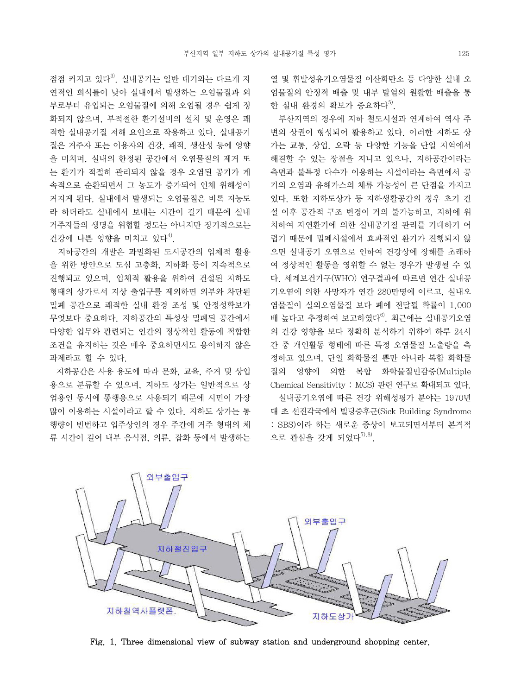점점 커지고 있다 $^{3}$ . 실내공기는 일반 대기와는 다르게 자 연적인 희석률이 낮아 실내에서 발생하는 오염물질과 외 부로부터 유입되는 오염물질에 의해 오염될 경우 쉽게 정 화되지 않으며, 부적절한 환기설비의 설치 및 운영은 쾌 적한 실내공기질 저해 요인으로 작용하고 있다. 실내공기 질은 거주자 또는 이용자의 건강, 쾌적, 생산성 등에 영향 을 미치며, 실내의 한정된 공간에서 오염물질의 제거 또 는 환기가 적절히 관리되지 않을 경우 오염된 공기가 계 속적으로 순환되면서 그 농도가 증가되어 인체 위해성이 커지게 된다. 실내에서 발생되는 오염물질은 비록 저농도 라 하더라도 실내에서 보내는 시간이 길기 때문에 실내 거주자들의 생명을 위협할 정도는 아니지만 장기적으로는 건강에 나쁜 영향을 미치고 있다<sup>4)</sup>.

 지하공간의 개발은 과밀화된 도시공간의 입체적 활용 을 위한 방안으로 도심 고층화, 지하화 등이 지속적으로 진행되고 있으며, 입체적 활용을 위하여 건설된 지하도 형태의 상가로서 지상 출입구를 제외하면 외부와 차단된 밀폐 공간으로 쾌적한 실내 환경 조성 및 안정성확보가 무엇보다 중요하다. 지하공간의 특성상 밀폐된 공간에서 다양한 업무와 관련되는 인간의 정상적인 활동에 적합한 조건을 유지하는 것은 매우 중요하면서도 용이하지 않은 과제라고 할 수 있다.

 지하공간은 사용 용도에 따라 문화, 교육, 주거 및 상업 용으로 분류할 수 있으며, 지하도 상가는 일반적으로 상 업용인 동시에 통행용으로 사용되기 때문에 시민이 가장 많이 이용하는 시설이라고 할 수 있다. 지하도 상가는 통 행량이 빈번하고 입주상인의 경우 주간에 거주 형태의 체 류 시간이 길어 내부 음식점, 의류, 잡화 등에서 발생하는 열 및 휘발성유기오염물질 이산화탄소 등 다양한 실내 오 염물질의 안정적 배출 및 내부 발열의 원활한 배출을 통 한 실내 환경의 확보가 중요하다 $^{5)}$ .

 부산지역의 경우에 지하 철도시설과 연계하여 역사 주 변의 상권이 형성되어 활용하고 있다. 이러한 지하도 상 가는 교통, 상업, 오락 등 다양한 기능을 단일 지역에서 해결할 수 있는 장점을 지니고 있으나, 지하공간이라는 측면과 불특정 다수가 이용하는 시설이라는 측면에서 공 기의 오염과 유해가스의 체류 가능성이 큰 단점을 가지고 있다. 또한 지하도상가 등 지하생활공간의 경우 초기 건 설 이후 공간적 구조 변경이 거의 불가능하고, 지하에 위 치하여 자연환기에 의한 실내공기질 관리를 기대하기 어 렵기 때문에 밀폐시설에서 효과적인 환기가 진행되지 않 으면 실내공기 오염으로 인하여 건강상에 장해를 초래하 여 정상적인 활동을 영위할 수 없는 경우가 발생될 수 있 다. 세계보건기구(WHO) 연구결과에 따르면 연간 실내공 기오염에 의한 사망자가 연간 280만명에 이르고, 실내오 염물질이 실외오염물질 보다 폐에 전달될 확률이 1,000 배 높다고 추정하여 보고하였다<sup>6)</sup>. 최근에는 실내공기오염 의 건강 영향을 보다 정확히 분석하기 위하여 하루 24시 간 중 개인활동 형태에 따른 특정 오염물질 노출량을 측 정하고 있으며, 단일 화학물질 뿐만 아니라 복합 화학물 질의 영향에 의한 복합 화학물질민감증(Multiple Chemical Sensitivity : MCS) 관련 연구로 확대되고 있다. 실내공기오염에 따른 건강 위해성평가 분야는 1970년 대 초 선진각국에서 빌딩증후군(Sick Building Syndrome : SBS)이라 하는 새로운 증상이 보고되면서부터 본격적 으로 관심을 갖게 되었다<sup>7),8)</sup>



Fig. 1. Three dimensional view of subway station and underground shopping center.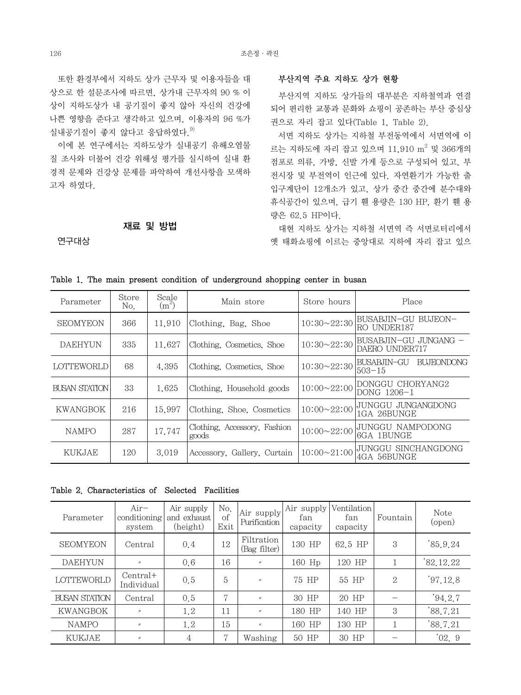또한 환경부에서 지하도 상가 근무자 및 이용자들을 대 상으로 한 설문조사에 따르면, 상가내 근무자의 90 % 이 상이 지하도상가 내 공기질이 좋지 않아 자신의 건강에 나쁜 영향을 준다고 생각하고 있으며, 이용자의 96 %가 실내공기질이 좋지 않다고 응답하였다.  $9$ 

 이에 본 연구에서는 지하도상가 실내공기 유해오염물 질 조사와 더불어 건강 위해성 평가를 실시하여 실내 환 경적 문제와 건강상 문제를 파악하여 개선사항을 모색하 고자 하였다.

# 재료 및 방법

연구대상

# 부산지역 주요 지하도 상가 현황

 부산지역 지하도 상가들의 대부분은 지하철역과 연결 되어 편리한 교통과 문화와 쇼핑이 공존하는 부산 중심상 권으로 자리 잡고 있다(Table 1, Table 2).

 서면 지하도 상가는 지하철 부전동역에서 서면역에 이 르는 지하도에 자리 잡고 있으며 11,910 m<sup>2</sup> 및 366개의 점포로 의류, 가방, 신발 가게 등으로 구성되어 있고, 부 전시장 및 부전역이 인근에 있다. 자연환기가 가능한 출 입구계단이 12개소가 있고, 상가 중간 중간에 분수대와 휴식공간이 있으며, 급기 휀 용량은 130 HP, 환기 휀 용 량은 62.5 HP이다.

 대현 지하도 상가는 지하철 서면역 즉 서면로터리에서 옛 태화쇼핑에 이르는 중앙대로 지하에 자리 잡고 있으

| Parameter            | Store<br>No. | Scale<br>$(m^2)$ | Main store                            | Store hours        | Place                                   |
|----------------------|--------------|------------------|---------------------------------------|--------------------|-----------------------------------------|
| <b>SEOMYEON</b>      | 366          | 11.910           | Clothing, Bag, Shoe                   | $10:30 \sim 22:30$ | BUSABJIN—GU BUJEON—<br>RO UNDER187      |
| <b>DAEHYUN</b>       | 335          | 11.627           | Clothing, Cosmetics, Shoe             | $10:30 \sim 22:30$ | BUSABJIN-GU JUNGANG –<br>DAERO UNDER717 |
| <b>LOTTEWORLD</b>    | 68           | 4.395            | Clothing, Cosmetics, Shoe             | $10:30 \sim 22:30$ | BUSABJIN-GU<br>BUJFONDONG<br>$503 - 15$ |
| <b>BUSAN STATION</b> | 33           | 1.625            | Clothing. Household goods             | $10:00 \sim 22:00$ | DONGGU CHORYANG2<br>DONG 1206-1         |
| <b>KWANGBOK</b>      | 216          | 15.997           | Clothing, Shoe, Cosmetics             | $10:00 \sim 22:00$ | JUNGGU JUNGANGDONG<br>1GA 26BUNGE       |
| <b>NAMPO</b>         | 287          | 17.747           | Clothing, Accessory, Fashion<br>goods | $10:00 \sim 22:00$ | JUNGGU NAMPODONG<br>6GA 1BUNGE          |
| <b>KUKJAE</b>        | 120          | 3.019            | Accessory, Gallery, Curtain           | $10:00 \sim 21:00$ | JUNGGU SINCHANGDONG<br>4GA 56BUNGE      |

|  |  |  |  |  |  | Table 1. The main present condition of underground shopping center in busan |  |  |  |  |
|--|--|--|--|--|--|-----------------------------------------------------------------------------|--|--|--|--|
|--|--|--|--|--|--|-----------------------------------------------------------------------------|--|--|--|--|

Table 2. Characteristics of Selected Facilities

| Parameter         | $Air-$<br>conditioning<br>system | Air supply<br>and exhaust<br>(height) | No.<br>$\circ$ f<br>Exit | Air supply<br>Purification | Air supply<br>fan<br>capacity | Ventilation<br>fan<br>capacity | Fountain       | Note<br>(open) |
|-------------------|----------------------------------|---------------------------------------|--------------------------|----------------------------|-------------------------------|--------------------------------|----------------|----------------|
| <b>SEOMYEON</b>   | Central                          | 0.4                                   | 12                       | Filtration<br>(Bag filter) | 130 HP                        | 62.5 HP                        | 3              | 85.9.24        |
| <b>DAEHYUN</b>    | $^{\prime\prime}$                | 0.6                                   | 16                       | $^{\prime\prime}$          | 160 Hp                        | 120 HP                         |                | 82.12.22       |
| <b>LOTTEWORLD</b> | $Central+$<br>Individual         | 0, 5                                  | $\overline{5}$           | $^{\prime\prime}$          | 75 HP                         | 55 HP                          | $\overline{2}$ | '97.12.8       |
| BUSAN STATION     | Central                          | 0.5                                   | 7                        | $^{\prime\prime}$          | 30 HP                         | 20 HP                          |                | '94.2.7        |
| <b>KWANGBOK</b>   | $\prime\prime$                   | 1.2                                   | 11                       | $^{\prime\prime}$          | 180 HP                        | 140 HP                         | 3              | '88.7.21       |
| <b>NAMPO</b>      | $^{\prime\prime}$                | 1.2                                   | 15                       | $^{\prime\prime}$          | 160 HP                        | 130 HP                         |                | '88.7.21       |
| <b>KUKJAE</b>     | $^{\prime\prime}$                | 4                                     | $\overline{ }$           | Washing                    | 50 HP                         | 30 HP                          |                | '02.9          |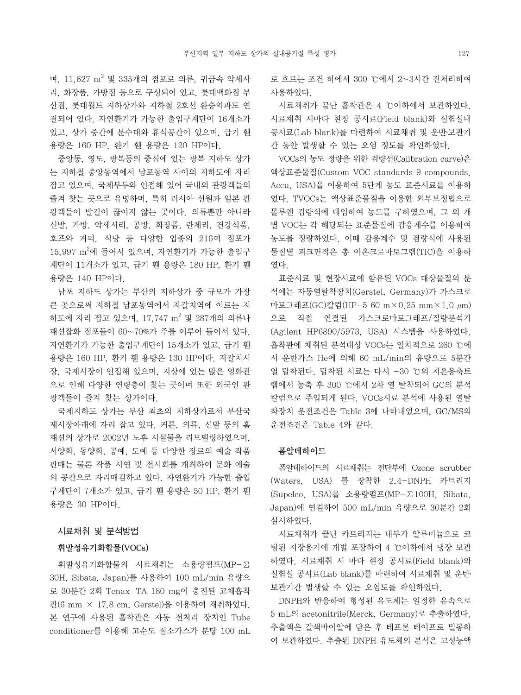며, 11,627 m<sup>2</sup> 및 335개의 점포로 의류, 귀금속 악세사 리, 화장품, 가방점 등으로 구성되어 있고, 롯데백화점 부 산점, 롯데월드 지하상가와 지하철 2호선 환승역과도 연 결되어 있다. 자연환기가 가능한 출입구계단이 16개소가 있고, 상가 중간에 분수대와 휴식공간이 있으며, 급기 휀 용량은 160 HP, 환기 휀 용량은 120 HP이다.

 중앙동, 영도, 광복동의 중심에 있는 광복 지하도 상가 는 지하철 중앙동역에서 남포동역 사이의 지하도에 자리 잡고 있으며, 국제부두와 인접해 있어 국내외 관광객들의 즐겨 찾는 곳으로 유명하며, 특히 러시아 선원과 일본 관 광객들이 발길이 끊이지 않는 곳이다. 의류뿐만 아니라 신발, 가방, 악세서리, 공방, 화장품, 란제리, 건강식품, 호프와 커피, 식당 등 다양한 업종의 216여 점포가  $15,997$   $\mathrm{m}^2$ 에 들어서 있으며, 자연환기가 가능한 출입구 계단이 11개소가 있고, 급기 휀 용량은 180 HP, 환기 휀 용량은 140 HP이다.

 남포 지하도 상가는 부산의 지하상가 중 규모가 가장 큰 곳으로써 지하철 남포동역에서 자갈치역에 이르는 지 하도에 자리 잡고 있으며, 17,747 m<sup>2</sup> 및 287개의 의류나 패션잡화 점포들이 60~70%가 주를 이루어 들어서 있다. 자연환기가 가능한 출입구계단이 15개소가 있고, 급기 휀 용량은 160 HP, 환기 휀 용량은 130 HP이다. 자갈치시 장, 국제시장이 인접해 있으며, 지상에 있는 많은 영화관 으로 인해 다양한 연령층이 찾는 곳이며 또한 외국인 관 광객들이 즐겨 찾는 상가이다.

 국제지하도 상가는 부산 최초의 지하상가로서 부산국 제시장아래에 자리 잡고 있다. 커튼, 의류, 신발 등의 홈 패션의 상가로 2002년 노후 시설물을 리모델링하였으며, 서양화, 동양화, 공예, 도예 등 다양한 장르의 예술 작품 판매는 물론 작품 시연 및 전시회를 개최하여 문화 예술 의 공간으로 자리매김하고 있다. 자연환기가 가능한 출입 구계단이 7개소가 있고, 급기 휀 용량은 50 HP, 환기 휀 용량은 30 HP이다.

#### 시료채취 및 분석방법

# 휘발성유기화합물(VOCs)

 휘발성유기화합물의 시료채취는 소용량펌프(MP-∑ 30H, Sibata, Japan)를 사용하여 100 mL/min 유량으 로 30분간 2회 Tenax-TA 180 mg이 충진된 고체흡착 관(6 mm × 17.8 cm, Gerstel)을 이용하여 채취하였다. 본 연구에 사용된 흡착관은 자동 전처리 장치인 Tube conditioner를 이용해 고순도 질소가스가 분당 100 mL 로 흐르는 조건 하에서 300 ℃에서 2~3시간 전처리하여 사용하였다.

 시료채취가 끝난 흡착관은 4 ℃이하에서 보관하였다. 시료채취 시마다 현장 공시료(Field blank)와 실험실내 공시료(Lab blank)를 마련하여 시료채취 및 운반․보관기 간 동안 발생할 수 있는 오염 정도를 확인하였다.

 VOCs의 농도 정량을 위한 검량선(Calibration curve)은 액상표준물질(Custom VOC standards 9 compounds, Accu, USA)을 이용하여 5단계 농도 표준시료를 이용하 였다. TVOCs는 액상표준물질을 이용한 외부보정법으로 톨루엔 검량식에 대입하여 농도를 구하였으며, 그 외 개 별 VOC는 각 해당되는 표준물질에 감응계수를 이용하여 농도를 정량하였다. 이때 감응계수 및 검량식에 사용된 물질별 피크면적은 총 이온크로마토그램(TIC)을 이용하 였다.

 표준시료 및 현장시료에 함유된 VOCs 대상물질의 분 석에는 자동열탈착장치(Gerstel, Germany)가 가스크로 마토그래프(GC)칼럼(HP-5 60 m×0.25 mm×1.0 μm) 으로 직접 연결된 가스크로마토그래프/질량분석기 (Agilent HP6890/5973, USA) 시스템을 사용하였다. 흡착관에 채취된 분석대상 VOCs는 일차적으로 260 ℃에 서 운반가스 He에 의해 60 mL/min의 유량으로 5분간 열 탈착된다. 탈착된 시료는 다시 -30 ℃의 저온응축트 랩에서 농축 후 300 ℃에서 2차 열 탈착되어 GC의 분석 칼럼으로 주입되게 된다. VOCs시료 분석에 사용된 열탈 착장치 운전조건은 Table 3에 나타내었으며, GC/MS의 운전조건은 Table 4와 같다.

#### 폼알데하이드

 폼알데하이드의 시료채취는 전단부에 Ozone scrubber (Waters, USA) 를 장착한 2,4-DNPH 카트리지 (Supelco, USA)를 소용량펌프(MP-∑100H, Sibata, Japan)에 연결하여 500 mL/min 유량으로 30분간 2회 실시하였다.

 시료채취가 끝난 카트리지는 내부가 알루미늄으로 코 팅된 저장용기에 개별 포장하여 4 ℃이하에서 냉장 보관 하였다. 시료채취 시 마다 현장 공시료(Field blank)와 실험실 공시료(Lab blank)를 마련하여 시료채취 및 운반․ 보관기간 발생할 수 있는 오염도를 확인하였다.

 DNPH와 반응하여 형성된 유도체는 일정한 유속으로 5 mL의 acetonitrile(Merck, Germany)로 추출하였다. 추출액은 갈색바이알에 담은 후 테프론 테이프로 밀봉하 여 보관하였다. 추출된 DNPH 유도체의 분석은 고성능액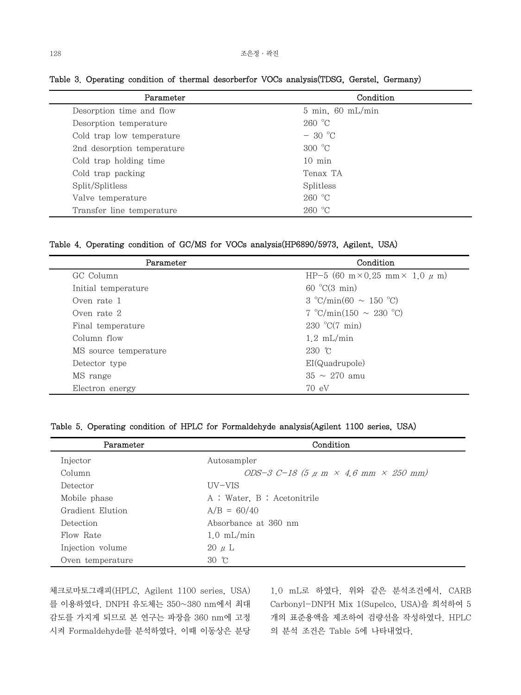| Condition                   |  |
|-----------------------------|--|
| $5 \text{ min}$ , 60 mL/min |  |
| 260 °C                      |  |
| $-30\degree$ C              |  |
| $300 \text{ °C}$            |  |
| $10 \text{ min}$            |  |
| Tenax TA                    |  |
| Splitless                   |  |
| 260 °C                      |  |
| 260 °C                      |  |
|                             |  |

Table 3. Operating condition of thermal desorberfor VOCs analysis(TDSG, Gerstel, Germany)

Table 4. Operating condition of GC/MS for VOCs analysis(HP6890/5973, Agilent, USA)

| Parameter             | Condition                                  |
|-----------------------|--------------------------------------------|
| GC Column             | HP-5 (60 m×0.25 mm× 1.0 $\mu$ m)           |
| Initial temperature   | 60 °C(3 min)                               |
| Oven rate 1           | $3 \text{ °C/min}(60 \sim 150 \text{ °C})$ |
| Oven rate 2           | 7 °C/min(150 $\sim$ 230 °C)                |
| Final temperature     | 230 °C $(7 \text{ min})$                   |
| Column flow           | $1.2 \text{ mL/min}$                       |
| MS source temperature | $230$ °C                                   |
| Detector type         | EI(Quadrupole)                             |
| MS range              | $35 \sim 270$ amu                          |
| Electron energy       | 70 eV                                      |

# Table 5. Operating condition of HPLC for Formaldehyde analysis(Agilent 1100 series, USA)

| Parameter        | Condition                                |
|------------------|------------------------------------------|
| Injector         | Autosampler                              |
| Column           | ODS-3 C-18 (5 $\mu$ m × 4.6 mm × 250 mm) |
| Detector         | UV-VIS                                   |
| Mobile phase     | A : Water, B : Acetonitrile              |
| Gradient Elution | $A/B = 60/40$                            |
| Detection        | Absorbance at 360 nm                     |
| Flow Rate        | $1.0 \text{ mL/min}$                     |
| Injection volume | $20 \mu L$                               |
| Oven temperature | 30 °C                                    |

체크로마토그래피(HPLC, Agilent 1100 series, USA) 를 이용하였다. DNPH 유도체는 350~380 nm에서 최대 감도를 가지게 되므로 본 연구는 파장을 360 nm에 고정 시켜 Formaldehyde를 분석하였다. 이때 이동상은 분당

1.0 mL로 하였다. 위와 같은 분석조건에서, CARB Carbonyl-DNPH Mix 1(Supelco, USA)을 희석하여 5 개의 표준용액을 제조하여 검량선을 작성하였다. HPLC 의 분석 조건은 Table 5에 나타내었다.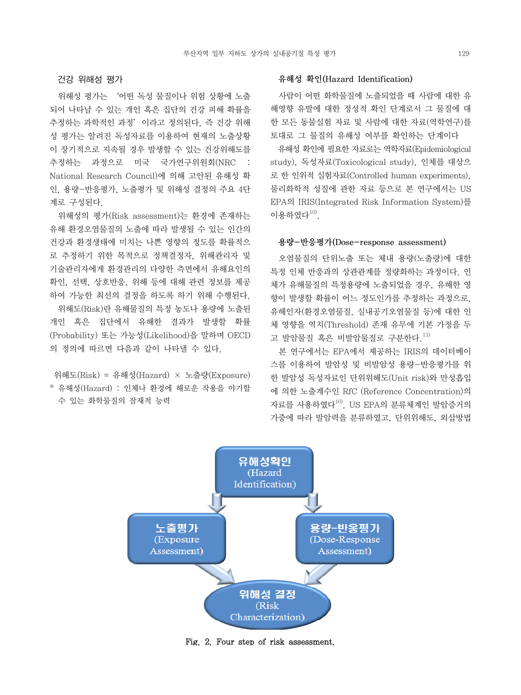# 건강 위해성 평가

 위해성 평가는 '어떤 독성 물질이나 위험 상황에 노출 되어 나타날 수 있는 개인 혹은 집단의 건강 피해 확률을 추정하는 과학적인 과정'이라고 정의된다. 즉 건강 위해 성 평가는 알려진 독성자료를 이용하여 현재의 노출상황 이 장기적으로 지속될 경우 발생할 수 있는 건강위해도를 추정하는 과정으로 미국 국가연구위원회(NRC : National Research Council)에 의해 고안된 유해성 확 인, 용량-반응평가, 노출평가 및 위해성 결정의 주요 4단 계로 구성된다.

 위해성의 평가(Risk assessment)는 환경에 존재하는 유해 환경오염물질의 노출에 따라 발생될 수 있는 인간의 건강과 환경생태에 미치는 나쁜 영향의 정도를 확률적으 로 추정하기 위한 목적으로 정책결정자, 위해관리자 및 기술관리자에게 환경관리의 다양한 측면에서 유해요인의 확인, 선택, 상호반응, 위해 등에 대해 관련 정보를 제공 하여 가능한 최선의 결정을 하도록 하기 위해 수행된다. 위해도(Risk)란 유해물질의 특정 농도나 용량에 노출된 개인 혹은 집단에서 유해한 결과가 발생할 확률 (Probability) 또는 가능성(Likelihood)을 말하며 OECD 의 정의에 따르면 다음과 같이 나타낼 수 있다.

# 위해도(Risk) = 유해성(Hazard) × 노출량(Exposure) \* 유해성(Hazard) : 인체나 환경에 해로운 작용을 야기할 수 있는 화학물질의 잠재적 능력

#### 유해성 확인(Hazard Identification)

 사람이 어떤 화학물질에 노출되었을 때 사람에 대한 유 해영향 유발에 대한 정성적 확인 단계로서 그 물질에 대 한 모든 동물실험 자료 및 사람에 대한 자료(역학연구)를 토대로 그 물질의 유해성 여부를 확인하는 단계이다

 유해성 확인에 필요한 자료로는 역학자료(Epidemiological study), 독성자료(Toxicological study), 인체를 대상으 로 한 인위적 실험자료(Controlled human experiments), 물리화학적 성질에 관한 자료 등으로 본 연구에서는 US EPA의 IRIS(Integrated Risk Information System)를 이용하였다 $10$ ).

# 용량-반응평가(Dose-response assessment)

 오염물질의 단위노출 또는 체내 용량(노출량)에 대한 특정 인체 반응과의 상관관계를 정량화하는 과정이다. 인 체가 유해물질의 특정용량에 노출되었을 경우, 유해한 영 향이 발생할 확률이 어느 정도인가를 추정하는 과정으로, 유해인자(환경오염물질, 실내공기오염물질 등)에 대한 인 체 영향을 역치(Threshold) 존재 유무에 기본 가정을 두 고 발암물질 혹은 비발암물질로 구부하다. $^{11}$ 

 본 연구에서는 EPA에서 제공하는 IRIS의 데이터베이 스를 이용하여 발암성 및 비발암성 용량-반응평가를 위 한 발암성 독성자료인 단위위해도(Unit risk)와 만성흡입 에 의한 노출계수인 RfC (Reference Concentration)의 자료를 사용하였다<sup>10)</sup>. US EPA의 분류체계인 발암증거의 가중에 따라 발암력을 분류하였고, 단위위해도, 외삽방법



Fig. 2. Four step of risk assessment.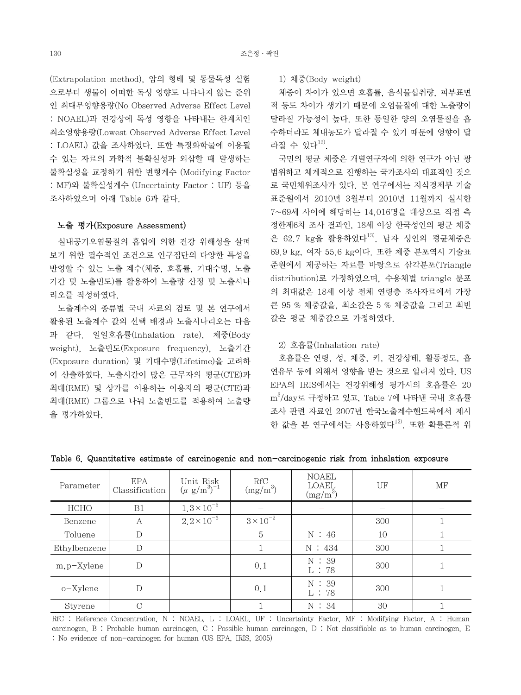(Extrapolation method), 암의 형태 및 동물독성 실험 으로부터 생물이 어떠한 독성 영향도 나타나지 않는 준위 인 최대무영향용량(No Observed Adverse Effect Level : NOAEL)과 건강상에 독성 영향을 나타내는 한계치인 최소영향용량(Lowest Observed Adverse Effect Level : LOAEL) 값을 조사하였다. 또한 특정화학물에 이용될 수 있는 자료의 과학적 불확실성과 외삽할 때 발생하는 불확실성을 교정하기 위한 변형계수 (Modifying Factor : MF)와 불확실성계수 (Uncertainty Factor : UF) 등을 조사하였으며 아래 Table 6과 같다.

#### 노출 평가(Exposure Assessment)

 실내공기오염물질의 흡입에 의한 건강 위해성을 살펴 보기 위한 필수적인 조건으로 인구집단의 다양한 특성을 반영할 수 있는 노출 계수(체중, 호흡률, 기대수명, 노출 기간 및 노출빈도)를 활용하여 노출량 산정 및 노출시나 리오를 작성하였다.

 노출계수의 종류별 국내 자료의 검토 및 본 연구에서 활용된 노출계수 값의 선택 배경과 노출시나리오는 다음 과 같다. 일일호흡률(Inhalation rate), 체중(Body weight), 노출빈도(Exposure frequency), 노출기간 (Exposure duration) 및 기대수명(Lifetime)을 고려하 여 산출하였다. 노출시간이 많은 근무자의 평균(CTE)과 최대(RME) 및 상가를 이용하는 이용자의 평균(CTE)과 최대(RME) 그룹으로 나눠 노출빈도를 적용하여 노출량 을 평가하였다.

1) 체중(Body weight)

 체중이 차이가 있으면 호흡률, 음식물섭취량, 피부표면 적 등도 차이가 생기기 때문에 오염물질에 대한 노출량이 달라질 가능성이 높다. 또한 동일한 양의 오염물질을 흡 수하더라도 체내농도가 달라질 수 있기 때문에 영향이 달 라질 수 있다 $^{12}$ .

 국민의 평균 체중은 개별연구자에 의한 연구가 아닌 광 범위하고 체계적으로 진행하는 국가조사의 대표적인 것으 로 국민체위조사가 있다. 본 연구에서는 지식경제부 기술 표준원에서 2010년 3월부터 2010년 11월까지 실시한 7~69세 사이에 해당하는 14,016명을 대상으로 직접 측 정한제6차 조사 결과인, 18세 이상 한국성인의 평균 체중 은 62.7 kg을 활용하였다<sup>13</sup>. 남자 성인의 평균체중은 69.9 kg, 여자 55.6 kg이다. 또한 체중 분포역시 기술표 준원에서 제공하는 자료를 바탕으로 삼각분포(Triangle distribution)로 가정하였으며, 수용체별 triangle 분포 의 최대값은 18세 이상 전체 연령층 조사자료에서 가장 큰 95 % 체중값을, 최소값은 5 % 체중값을 그리고 최빈 값은 평균 체중값으로 가정하였다.

2) 호흡률(Inhalation rate)

 호흡률은 연령, 성, 체중, 키, 건강상태, 활동정도, 흡 연유무 등에 의해서 영향을 받는 것으로 알려져 있다. US EPA의 IRIS에서는 건강위해성 평가시의 호흡률은 20  $\mathrm{m}^3/\mathrm{day}$ 로 규정하고 있고, Table 7에 나타낸 국내 호흡률 조사 관련 자료인 2007년 한국노출계수핸드북에서 제시 한 값을 본 연구에서는 사용하였다<sup>12)</sup>. 또한 확률론적 위

| Parameter      | EPA<br>Classification | Unit Risk<br>$(\mu g/m^3)^{-1}$ | RfC<br>$(mg/m^3)$  | <b>NOAEL</b><br>LOAEL<br>$(mg/m^3)$ | UF  | MF |
|----------------|-----------------------|---------------------------------|--------------------|-------------------------------------|-----|----|
| HCHO           | B1                    | $1.3 \times 10^{-5}$            |                    |                                     |     |    |
| Benzene        | A                     | $2.2 \times 10^{-6}$            | $3 \times 10^{-2}$ |                                     | 300 |    |
| Toluene        | D                     |                                 | 5                  | N:46                                | 10  |    |
| Ethylbenzene   | D                     |                                 |                    | N:434                               | 300 |    |
| $m, p-X$ ylene | D                     |                                 | 0,1                | N:39<br>L: 78                       | 300 |    |
| o-Xylene       | D                     |                                 | 0,1                | N:39<br>L: 78                       | 300 |    |
| Styrene        | C                     |                                 |                    | N:34                                | 30  |    |

Table 6. Quantitative estimate of carcinogenic and non-carcinogenic risk from inhalation exposure

RfC : Reference Concentration, N : NOAEL, L : LOAEL, UF : Uncertainty Factor, MF : Modifying Factor, A : Human carcinogen, B : Probable human carcinogen, C : Possible human carcinogen, D : Not classifiable as to human carcinogen, E : No evidence of non-carcinogen for human (US EPA, IRIS, 2005)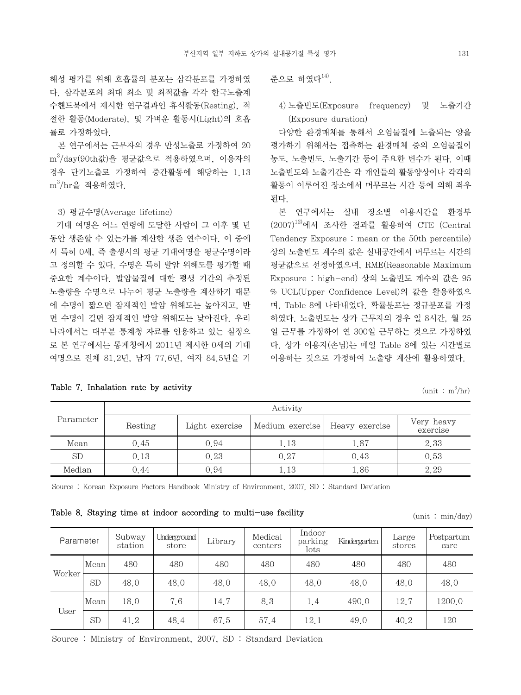해성 평가를 위해 호흡률의 분포는 삼각분포를 가정하였 다. 삼각분포의 최대 최소 및 최적값을 각각 한국노출계 수핸드북에서 제시한 연구결과인 휴식활동(Resting), 적 절한 활동(Moderate), 및 가벼운 활동시(Light)의 호흡 률로 가정하였다.

 본 연구에서는 근무자의 경우 만성노출로 가정하여 20 m<sup>3</sup> /day(90th값)을 평균값으로 적용하였으며, 이용자의 경우 단기노출로 가정하여 중간활동에 해당하는 1.13  $\text{m}^3/\text{hr}$ 을 적용하였다.

# 3) 평균수명(Average lifetime)

Table 7. Inhalation rate by activity

 기대 여명은 어느 연령에 도달한 사람이 그 이후 몇 년 동안 생존할 수 있는가를 계산한 생존 연수이다. 이 중에 서 특히 0세, 즉 출생시의 평균 기대여명을 평균수명이라 고 정의할 수 있다. 수명은 특히 발암 위해도를 평가할 때 중요한 계수이다. 발암물질에 대한 평생 기간의 추정된 노출량을 수명으로 나누어 평균 노출량을 계산하기 때문 에 수명이 짧으면 잠재적인 발암 위해도는 높아지고, 반 면 수명이 길면 잠재적인 발암 위해도는 낮아진다. 우리 나라에서는 대부분 통계청 자료를 인용하고 있는 실정으 로 본 연구에서는 통계청에서 2011년 제시한 0세의 기대 여명으로 전체 81.2년, 남자 77.6년, 여자 84.5년을 기

|  | 주으로 하였다 <sup>14)</sup> . |  |
|--|--------------------------|--|
|--|--------------------------|--|

# 4) 노출빈도(Exposure frequency) 및 노출기간 (Exposure duration)

 다양한 환경매체를 통해서 오염물질에 노출되는 양을 평가하기 위해서는 접촉하는 환경매체 중의 오염물질이 농도, 노출빈도, 노출기간 등이 주요한 변수가 된다. 이때 노출빈도와 노출기간은 각 개인들의 활동양상이나 각각의 활동이 이루어진 장소에서 머무르는 시간 등에 의해 좌우 된다.

 본 연구에서는 실내 장소별 이용시간을 환경부  $(2007)^{12}$ 에서 조사한 결과를 활용하여 CTE (Central Tendency Exposure : mean or the 50th percentile) 상의 노출빈도 계수의 값은 실내공간에서 머무르는 시간의 평균값으로 선정하였으며, RME(Reasonable Maximum Exposure : high-end) 상의 노출빈도 계수의 값은 95 % UCL(Upper Confidence Level)의 값을 활용하였으 며, Table 8에 나타내었다. 확률분포는 정규분포를 가정 하였다. 노출빈도는 상가 근무자의 경우 일 8시간, 월 25 일 근무를 가정하여 연 300일 근무하는 것으로 가정하였 다. 상가 이용자(손님)는 매일 Table 8에 있는 시간별로 이용하는 것으로 가정하여 노출량 계산에 활용하였다.

| (unit |  | $m^3/hr)$ |
|-------|--|-----------|
|-------|--|-----------|

|           | Activity |                |                 |                |                        |  |  |  |  |  |
|-----------|----------|----------------|-----------------|----------------|------------------------|--|--|--|--|--|
| Parameter | Resting  | Light exercise | Medium exercise | Heavy exercise | Very heavy<br>exercise |  |  |  |  |  |
| Mean      | 0.45     | 0.94           | 1.13            | 1.87           | 2.33                   |  |  |  |  |  |
| <b>SD</b> | 0.13     | 0.23           | 0.27            | 0.43           | 0.53                   |  |  |  |  |  |
| Median    | 0.44     | 0.94           | 1.13            | 1.86           | 2.29                   |  |  |  |  |  |

Source : Korean Exposure Factors Handbook Ministry of Environment, 2007, SD : Standard Deviation

Table 8. Staying time at indoor according to multi-use facility  $(\text{unit} : \text{min/day})$ 

| Parameter |           | Subway<br>station | Underground<br>store | Library | Medical<br>centers | Indoor<br>parking<br>lots | Kindergarten | Large<br>stores | Postpartum<br>care |
|-----------|-----------|-------------------|----------------------|---------|--------------------|---------------------------|--------------|-----------------|--------------------|
|           | Mean      | 480               | 480                  | 480     | 480                | 480                       | 480          | 480             | 480                |
| Worker    | <b>SD</b> | 48.0              | 48.0                 | 48.0    | 48.0               | 48.0                      | 48.0         | 48.0            | 48.0               |
|           | Mean      | 18.0              | 7.6                  | 14.7    | 8.3                | 1.4                       | 490.0        | 12.7            | 1200.0             |
| User      | <b>SD</b> | 41.2              | 48.4                 | 67.5    | 57.4               | 12.1                      | 49.0         | 40.2            | 120                |

Source : Ministry of Environment, 2007, SD : Standard Deviation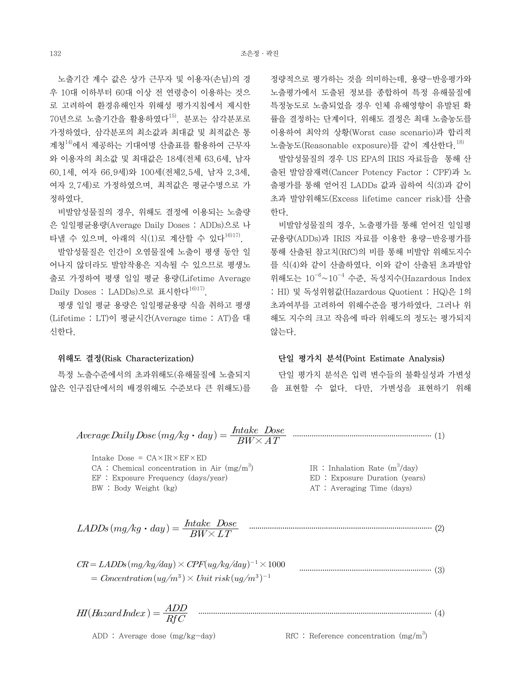노출기간 계수 값은 상가 근무자 및 이용자(손님)의 경 우 10대 이하부터 60대 이상 전 연령층이 이용하는 것으 로 고려하여 환경유해인자 위해성 평가지침에서 제시한  $70$ 년으로 노출기간을 활용하였다 $^{15)}$ . 분포는 삼각분포로 가정하였다. 삼각분포의 최소값과 최대값 및 최적값은 통 계청14)에서 제공하는 기대여명 산출표를 활용하여 근무자 와 이용자의 최소값 및 최대값은 18세(전체 63.6세, 남자 60.1세, 여자 66.9세)와 100세(전체2.5세, 남자 2.3세, 여자 2.7세)로 가정하였으며, 최적값은 평균수명으로 가 정하였다.

 비발암성물질의 경우, 위해도 결정에 이용되는 노출량 은 일일평균용량(Average Daily Doses : ADDs)으로 나 타낼 수 있으며, 아래의 식(1)로 계산할 수 있다 $^{16}$ 17).

 발암성물질은 인간이 오염물질에 노출이 평생 동안 일 어나지 않더라도 발암작용은 지속될 수 있으므로 평생노 출로 가정하여 평생 일일 평균 용량(Lifetime Average Daily Doses : LADDs)으로 표시한다<sup>16)17)</sup>.

 평생 일일 평균 용량은 일일평균용량 식을 취하고 평생 (Lifetime : LT)이 평균시간(Average time : AT)을 대 신한다.

#### 위해도 결정(Risk Characterization)

 특정 노출수준에서의 초과위해도(유해물질에 노출되지 않은 인구집단에서의 배경위해도 수준보다 큰 위해도)를 정량적으로 평가하는 것을 의미하는데, 용량-반응평가와 노출평가에서 도출된 정보를 종합하여 특정 유해물질에 특정농도로 노출되었을 경우 인체 유해영향이 유발된 확 률을 결정하는 단계이다. 위해도 결정은 최대 노출농도를 이용하여 최악의 상황(Worst case scenario)과 합리적 노출농도(Reasonable exposure)를 같이 계산한다.<sup>18)</sup>

 발암성물질의 경우 US EPA의 IRIS 자료들을 통해 산 출된 발암잠재력(Cancer Potency Factor : CPF)과 노 출평가를 통해 얻어진 LADDs 값과 곱하여 식(3)과 같이 초과 발암위해도(Excess lifetime cancer risk)를 산출 한다.

 비발암성물질의 경우, 노출평가를 통해 얻어진 일일평 균용량(ADDs)과 IRIS 자료를 이용한 용량-반응평가를 통해 산출된 참고치(RfC)의 비를 통해 비발암 위해도지수 를 식(4)와 같이 산출하였다. 이와 같이 산출된 초과발암 위해도는  $10^{-6} \sim 10^{-4}$  수준, 독성지수(Hazardous Index : HI) 및 독성위험값(Hazardous Quotient : HQ)은 1의 초과여부를 고려하여 위해수준을 평가하였다. 그러나 위 해도 지수의 크고 작음에 따라 위해도의 정도는 평가되지 않는다.

# 단일 평가치 분석(Point Estimate Analysis)

 단일 평가치 분석은 입력 변수들의 불확실성과 가변성 을 표현할 수 없다. 다만, 가변성을 표현하기 위해

$$
Average Daily Does (mg/kg \cdot day) = \frac{Intake \cdot Does}{BW \times AT}
$$
\nIntake  $Does = CA \times IR \times EF \times ED$ 

\nCA : Chemical concentration in Air (mg/m<sup>3</sup>)

\nEF : Exposure Frequency (days/year)

\nBW : Body Weight (kg)

\nLADDs (mg/kg \cdot day) = \frac{Intake \cdot Does}{BW \times LT}

\nCLADDs (mg/kg \cdot day) = \frac{Intake \cdot Does}{BW \times LT}

\nCM: Average Time (days)

\nCR = LADDs (mg/kg/day) \times CPF(ug/kg/day)^{-1} \times 1000

\nCM: A 1000

\nCM: A 1001

\nCM: A 201

\nOM: A 31

\nOM: B 41

\nOM: B 42

\nOM: B 54

\nOM: B 54

\nOM: B 64

\nOM: C 64

\nOM: C 64

\nOM: D 64

\nOM: D 64

\nOM: D 64

\nOM: D 64

\nOM: D 64

\nOM: D 64

\nOM: D 64

\nOM: D 64

\nOM: D 64

\nOM: D 64

\nOM: D 64

\nOM: D 64

\nOM: D 64

\nOM: D 64

\nOM: D 64

\nOM: D 64

\nOM: D 64

\nOM: D 64

\nOM: D 64

\nOM: D 64

\nOM: D 64

\nOM: D 64

\nOM: D 64

\nOM: D 64

\nOM: D 64

\nOM: D 64

\nOM: D 64

\nOM: D 64

\nOM: D 64

\nOM: D 64

\nOM: D 64

\nOM: D 64

\nOM: D 64

\nOM: D 64

\nOM: D

= Concentration  $(uq/m^3) \times Unit$  risk $(uq/m^3)^{-1}$ 

 ················································································································ (4)

ADD : Average dose  $(mg/kg-day)$  RfC : Reference concentration  $(mg/m<sup>3</sup>)$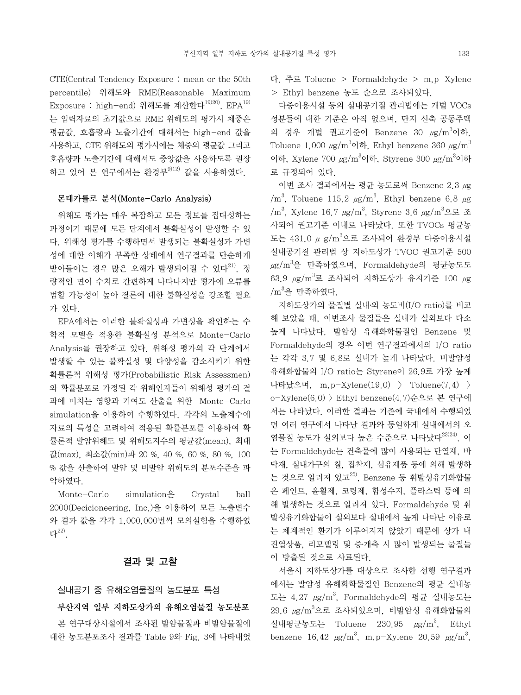CTE(Central Tendency Exposure : mean or the 50th percentile) 위해도와 RME(Reasonable Maximum Exposure : high-end) 위해도를 계산한다<sup>19)20)</sup>. EPA<sup>19)</sup> 는 입력자료의 초기값으로 RME 위해도의 평가시 체중은 평균값, 호흡량과 노출기간에 대해서는 high-end 값을 사용하고, CTE 위해도의 평가시에는 체중의 평균값 그리고 호흡량과 노출기간에 대해서도 중앙값을 사용하도록 권장 하고 있어 본 연구에서는 환경부<sup>9)12)</sup> 값을 사용하였다.

#### 몬테카를로 분석(Monte-Carlo Analysis)

 위해도 평가는 매우 복잡하고 모든 정보를 집대성하는 과정이기 때문에 모든 단계에서 불확실성이 발생할 수 있 다. 위해성 평가를 수행하면서 발생되는 불확실성과 가변 성에 대한 이해가 부족한 상태에서 연구결과를 단순하게 받아들이는 경우 많은 오해가 발생되어질 수 있다<sup>21)</sup>. 정 량적인 면이 수치로 간편하게 나타나지만 평가에 오류를 범할 가능성이 높아 결론에 대한 불확실성을 강조할 필요 가 있다.

 EPA에서는 이러한 불확실성과 가변성을 확인하는 수 학적 모델을 적용한 불확실성 분석으로 Monte-Carlo Analysis를 권장하고 있다. 위해성 평가의 각 단계에서 발생할 수 있는 불확실성 및 다양성을 감소시키기 위한 확률론적 위해성 평가(Probabilistic Risk Assessmen) 와 확률분포로 가정된 각 위해인자들이 위해성 평가의 결 과에 미치는 영향과 기여도 산출을 위한 Monte-Carlo simulation을 이용하여 수행하였다. 각각의 노출계수에 자료의 특성을 고려하여 적용된 확률분포를 이용하여 확 률론적 발암위해도 및 위해도지수의 평균값(mean), 최대 값(max), 최소값(min)과 20 %, 40 %, 60 %, 80 %, 100 % 값을 산출하여 발암 및 비발암 위해도의 분포수준을 파 악하였다.

Monte-Carlo simulation<sup>o</sup> Crystal ball 2000(Decicioneering, Inc.)을 이용하여 모든 노출변수 와 결과 값을 각각 1,000,000번씩 모의실험을 수행하였 다22).

# 결과 및 고찰

#### 실내공기 중 유해오염물질의 농도분포 특성

부산지역 일부 지하도상가의 유해오염물질 농도분포

 본 연구대상시설에서 조사된 발암물질과 비발암물질에 대한 농도분포조사 결과를 Table 9와 Fig. 3에 나타내었 다. 주로 Toluene > Formaldehyde > m,p-Xylene > Ethyl benzene 농도 순으로 조사되었다.

 다중이용시설 등의 실내공기질 관리법에는 개별 VOCs 성분들에 대한 기준은 아직 없으며, 단지 신축 공동주택 의 경우 개별 권고기준이 Benzene 30 µg/m<sup>3</sup>이하, Toluene 1,000  $\mu$ g/m $^3$ 이하, Ethyl benzene 360  $\mu$ g/m $^3$ 이하, Xylene 700  $\mu$ g/m $^3$ 이하, Styrene 300  $\mu$ g/m $^3$ 이하 로 규정되어 있다.

 이번 조사 결과에서는 평균 농도로써 Benzene 2.3 μg  $/m<sup>3</sup>$ , Toluene 115.2  $\mu$ g/m<sup>3</sup>, Ethyl benzene 6.8  $\mu$ g /m<sup>3</sup>, Xylene 16.7 μg/m<sup>3</sup>, Styrene 3.6 μg/m<sup>3</sup>으로 조 사되어 권고기준 이내로 나타났다. 또한 TVOCs 평균농 도는 431.0 μ g/m<sup>3</sup>으로 조사되어 환경부 다중이용시설 실내공기질 관리법 상 지하도상가 TVOC 권고기준 500  $\mu$ g/m $^3$ 을 만족하였으며, Formaldehyde의 평균농도도  $63.9\,$   $\mu{\rm g}/{\rm m}^3$ 로 조사되어 지하도상가 유지기준 100  $\mu{\rm g}$ / $m^3$ 을 만족하였다.

 지하도상가의 물질별 실내․외 농도비(I/O ratio)를 비교 해 보았을 때, 이번조사 물질들은 실내가 실외보다 다소 높게 나타났다. 발암성 유해화학물질인 Benzene 및 Formaldehyde의 경우 이번 연구결과에서의 I/O ratio 는 각각 3.7 및 6.8로 실내가 높게 나타났다. 비발암성 유해화합물의 I/O ratio는 Styrene이 26.9로 가장 높게 나타났으며, m,p-Xylene(19.0) > Toluene(7.4) > o-Xylene(6.0) > Ethyl benzene(4.7)순으로 본 연구에 서는 나타났다. 이러한 결과는 기존에 국내에서 수행되었 던 여러 연구에서 나타난 결과와 동일하게 실내에서의 오 염물질 농도가 실외보다 높은 수준으로 나타났다<sup>23)24)</sup>. 이 는 Formaldehyde는 건축물에 많이 사용되는 단열재, 바 닥재, 실내가구의 칠, 접착제, 섬유제품 등에 의해 발생하 는 것으로 알려져 있고 $^{25)}$ , Benzene 등 휘발성유기화합물 은 페인트, 윤활제, 코팅제, 합성수지, 플라스틱 등에 의 해 발생하는 것으로 알려져 있다. Formaldehyde 및 휘 발성유기화합물이 실외보다 실내에서 높게 나타난 이유로 는 체계적인 환기가 이루어지지 않았기 때문에 상가 내 진열상품, 리모델링 및 증․개축 시 많이 발생되는 물질들 이 방출된 것으로 사료된다.

 서울시 지하도상가를 대상으로 조사한 선행 연구결과 에서는 발암성 유해화학물질인 Benzene의 평균 실내농 도는 4.27  $\mu$ g/m $^3$ , Formaldehyde의 평균 실내농도는 29.6  $\mu$ g/m $^3$ 으로 조사되었으며, 비발암성 유해화합물의 실내평균농도는 Toluene  $230.95$   $\mu$ g/m<sup>3</sup>, Ethyl benzene 16.42  $\mu$ g/m<sup>3</sup>, m, p-Xylene 20.59  $\mu$ g/m<sup>3</sup>,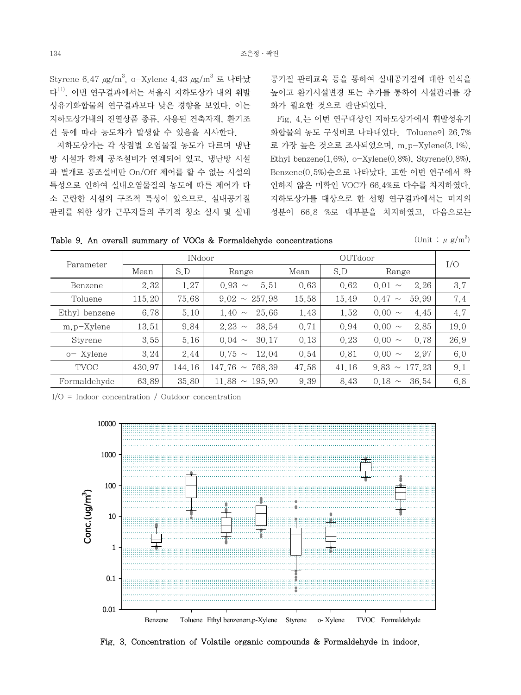Styrene 6.47  $\mu$ g/m $^3$ , o-Xylene 4.43  $\mu$ g/m $^3$  로 나타났 다 $^{11)}$  이번 연구결과에서는 서울시 지하도상가 내의 휘발 성유기화합물의 연구결과보다 낮은 경향을 보였다. 이는 지하도상가내의 진열상품 종류, 사용된 건축자재, 환기조 건 등에 따라 농도차가 발생할 수 있음을 시사한다.

 지하도상가는 각 상점별 오염물질 농도가 다르며 냉난 방 시설과 함께 공조설비가 연계되어 있고, 냉난방 시설 과 별개로 공조설비만 On/Off 제어를 할 수 없는 시설의 특성으로 인하여 실내오염물질의 농도에 따른 제어가 다 소 곤란한 시설의 구조적 특성이 있으므로, 실내공기질 관리를 위한 상가 근무자들의 주기적 청소 실시 및 실내

공기질 관리교육 등을 통하여 실내공기질에 대한 인식을 높이고 환기시설변경 또는 추가를 통하여 시설관리를 강 화가 필요한 것으로 판단되었다.

 Fig. 4.는 이번 연구대상인 지하도상가에서 휘발성유기 화합물의 농도 구성비로 나타내었다. Toluene이 26.7% 로 가장 높은 것으로 조사되었으며, m,p-Xylene(3.1%), Ethyl benzene $(1.6\%)$ , o-Xylene $(0.8\%)$ , Styrene $(0.8\%)$ , Benzene(0.5%)순으로 나타났다. 또한 이번 연구에서 확 인하지 않은 미확인 VOC가 66.4%로 다수를 차지하였다. 지하도상가를 대상으로 한 선행 연구결과에서는 미지의 성분이 66.8 %로 대부분을 차지하였고, 다음으로는

Table 9. An overall summary of VOCs & Formaldehyde concentrations

(Unit:  $\mu$  g/m<sup>3</sup>)

|                |        | <b>INdoor</b> |                      |       |              |                         |      |
|----------------|--------|---------------|----------------------|-------|--------------|-------------------------|------|
| Parameter      | Mean   | S.D           | Range                | Mean  | S.D<br>Range |                         | I/O  |
| Benzene        | 2.32   | 1.27          | $0.93 \sim$<br>5.51  | 0.63  | 0.62         | 2.26<br>0.01<br>$\sim$  | 3.7  |
| Toluene        | 115.20 | 75.68         | $9.02 \sim 257.98$   | 15.58 | 15.49        | 59.99<br>0.47<br>$\sim$ | 7.4  |
| Ethyl benzene  | 6.78   | 5.10          | 1.40 $\sim$<br>25.66 | 1.43  | 1.52         | $0.00 \sim$<br>4.45     | 4.7  |
| $m, p$ -Xylene | 13.51  | 9.84          | $2.23 \sim$<br>38.54 | 0.71  | 0.94         | $0.00 \sim$<br>2.85     | 19.0 |
| Styrene        | 3.55   | 5.16          | $0.04 \sim$<br>30.17 | 0.13  | 0.23         | $0.00 \sim$<br>0.78     | 26.9 |
| o-Xylene       | 3.24   | 2.44          | $0.75 \sim$<br>12.04 | 0.54  | 0.81         | $0.00 \sim$<br>2.97     | 6.0  |
| <b>TVOC</b>    | 430.97 | 144.16        | $147.76 \sim 768.39$ | 47.58 | 41.16        | $9.83 \sim 177.23$      | 9.1  |
| Formaldehyde   | 63.89  | 35.80         | $11.88 \sim 195.90$  | 9.39  | 8.43         | $0.18 \sim$<br>36.54    | 6.8  |

I/O = Indoor concentration / Outdoor concentration



Fig. 3. Concentration of Volatile organic compounds & Formaldehyde in indoor.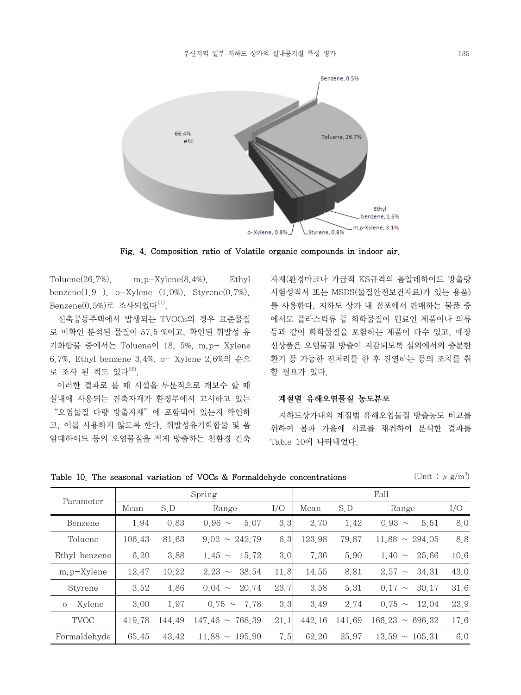

Fig. 4. Composition ratio of Volatile organic compounds in indoor air.

Toluene(26.7%), m,p-Xylene(8.4%), Ethyl benzene $(1.9)$ , o-Xylene  $(1.0\%)$ , Styrene $(0.7\%)$ ,  $Benzene(0.5%)로 조사되었다 $^{11}$ .$ 

 신축공동주택에서 발생되는 TVOCs의 경우 표준물질 로 미확인 분석된 물질이 57.5 %이고, 확인된 휘발성 유 기화합물 중에서는 Toluene이 18. 5%, m,p- Xylene 6.7%, Ethyl benzene 3.4%, o- Xylene 2.6%의 순으 로 조사 된 적도 있다<sup>26)</sup>.

 이러한 결과로 볼 때 시설을 부분적으로 개보수 할 때 실내에 사용되는 건축자재가 환경부에서 고시하고 있는 "오염물질 다량 방출자재"에 포함되어 있는지 확인하 고, 이를 사용하지 않도록 한다. 휘발성유기화합물 및 폼 알데하이드 등의 오염물질을 적게 방출하는 친환경 건축

자재(환경마크나 가급적 KS규격의 폼알데하이드 방출량 시험성적서 또는 MSDS(물질안전보건자료)가 있는 용품) 를 사용한다. 지하도 상가 내 점포에서 판매하는 물품 중 에서도 플라스틱류 등 화학물질이 원료인 제품이나 의류 등과 같이 화학물질을 포함하는 제품이 다수 있고, 매장 신상품은 오염물질 방출이 저감되도록 실외에서의 충분한 환기 등 가능한 전처리를 한 후 진열하는 등의 조치를 취 할 필요가 있다.

## 계절별 유해오염물질 농도분포

 지하도상가내의 계절별 유해오염물질 방출농도 비교를 위하여 봄과 가을에 시료를 채취하여 분석한 결과를 Table 10에 나타내었다.

Table 10. The seasonal variation of VOCs & Formaldehyde concentrations

(Unit:  $\mu$  g/m<sup>3</sup>)

| Parameter     |        |        | Spring                  | Fall |        |        |                         |      |
|---------------|--------|--------|-------------------------|------|--------|--------|-------------------------|------|
|               | Mean   | S.D    | Range                   | I/O  | Mean   | S.D    | Range                   | I/O  |
| Benzene       | 1.94   | 0.83   | $0.96 \sim$<br>5.07     | 3.3  | 2.70   | 1.42   | $0.93 \sim$<br>5.51     | 8.0  |
| Toluene       | 106.43 | 81.63  | $9.02 \sim 242.79$      | 6.3  | 123.98 | 79.87  | $11.88 \sim 294.05$     | 8.8  |
| Ethyl benzene | 6.20   | 3.88   | $1.45 \sim$<br>15.72    | 3.0  | 7.36   | 5.90   | 1.40<br>25.66<br>$\sim$ | 10,6 |
| $m.p-X$ ylene | 12.47  | 10.22  | 2.23<br>38.54<br>$\sim$ | 11.8 | 14.55  | 8.81   | $2.57 \sim$<br>34.31    | 43.0 |
| Styrene       | 3.52   | 4.86   | 20.74<br>$0.04 \sim$    | 23.7 | 3.58   | 5.31   | $0.17 \sim$<br>30.17    | 31,6 |
| o-Xylene      | 3.00   | 1.97   | $0.75 \sim$<br>7.78     | 3.3  | 3.49   | 2.74   | $0.75 \sim$<br>12.04    | 23.9 |
| <b>TVOC</b>   | 419.78 | 144.49 | $147.46 \sim 768.39$    | 21.1 | 442.16 | 141.69 | $166.23 \sim 696.32$    | 17.6 |
| Formaldehyde  | 65.45  | 43.42  | $11.88 \sim 195.90$     | 7.5  | 62.26  | 25.97  | $13.59 \sim 105.31$     | 6.0  |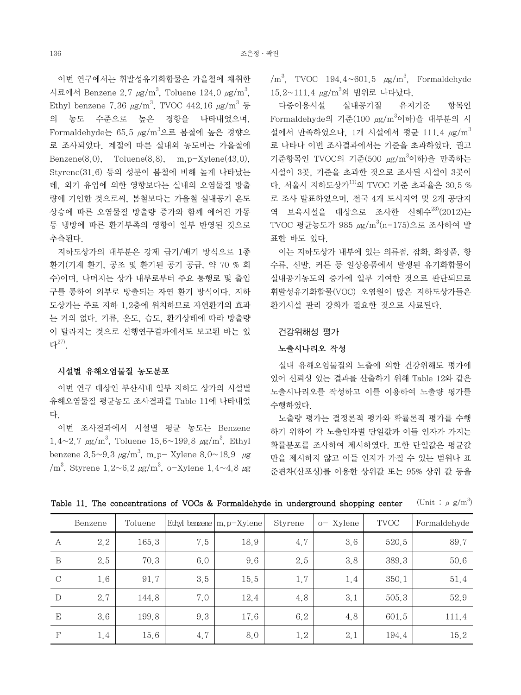이번 연구에서는 휘발성유기화합물은 가을철에 채취한 시료에서 Benzene 2.7  $\mu$ g/m $^3$ , Toluene 124.0  $\mu$ g/m $^3$ , Ethyl benzene 7.36  $\mu$ g/m<sup>3</sup>, TVOC 442.16  $\mu$ g/m<sup>3</sup> 등 의 농도 수준으로 높은 경향을 나타내었으며, Formaldehyde는 65.5  $\mu\text{g/m}^3$ 으로 봄철에 높은 경향으 로 조사되었다. 계절에 따른 실내외 농도비는 가을철에 Benzene $(8,0)$ , Toluene $(8,8)$ , m,  $p-X$ ylene $(43,0)$ , Styrene(31.6) 등의 성분이 봄철에 비해 높게 나타났는 데, 외기 유입에 의한 영향보다는 실내의 오염물질 방출 량에 기인한 것으로써, 봄철보다는 가을철 실내공기 온도 상승에 따른 오염물질 방출량 증가와 함께 에어컨 가동 등 냉방에 따른 환기부족의 영향이 일부 반영된 것으로 추측된다.

 지하도상가의 대부분은 강제 급기/배기 방식으로 1종 환기(기계 환기, 공조 및 환기된 공기 공급, 약 70 % 회 수)이며, 나머지는 상가 내부로부터 주요 통행로 및 출입 구를 통하여 외부로 방출되는 자연 환기 방식이다. 지하 도상가는 주로 지하 1,2층에 위치하므로 자연환기의 효과 는 거의 없다. 기류, 온도, 습도, 환기상태에 따라 방출량 이 달라지는 것으로 선행연구결과에서도 보고된 바는 있 다27).

# 시설별 유해오염물질 농도분포

 이번 연구 대상인 부산시내 일부 지하도 상가의 시설별 유해오염물질 평균농도 조사결과를 Table 11에 나타내었 다.

 이번 조사결과에서 시설별 평균 농도는 Benzene  $1.4 \sim 2.7 \text{ }\mu\text{g/m}^3$ , Toluene  $15.6 \sim 199.8 \text{ }\mu\text{g/m}^3$ , Ethyl benzene 3.5~9.3  $\mu$ g/m<sup>3</sup>, m,p- Xylene 8.0~18.9  $\mu$ g  $/m<sup>3</sup>$ , Styrene 1.2~6.2  $\mu$ g/m<sup>3</sup>, o-Xylene 1.4~4.8  $\mu$ g

 $/m<sup>3</sup>$ , TVOC 194.4~601.5  $\mu$ g/m<sup>3</sup>, Formaldehyde  $15.2 \sim 111.4 \ \mu g/m^3$ 의 범위로 나타났다.

 다중이용시설 실내공기질 유지기준 항목인 Formaldehyde의 기준(100 μg/m<sup>3</sup>이하)을 대부분의 시 설에서 만족하였으나, 1개 시설에서 평균 111.4  $\mu$ g/m $^3$ 로 나타나 이번 조사결과에서는 기준을 초과하였다. 권고 기준항목인 TVOC의 기준 $(500 \ \mu{\rm g}/{\rm m}^3$ 이하)을 만족하는 시설이 3곳, 기준을 초과한 것으로 조사된 시설이 3곳이 다. 서울시 지하도상가 $^{11)}$ 의 TVOC 기준 초과율은 30.5 % 로 조사 발표하였으며, 전국 4개 도시지역 및 2개 공단지 역 보육시설을 대상으로 조사한 신혜수 $^{23)}(2012)$ 는 TVOC 평균농도가 985  $\mu{\rm g}/{\rm m}^3$ (n=175)으로 조사하여 발 표한 바도 있다.

 이는 지하도상가 내부에 있는 의류점, 잡화, 화장품, 향 수류, 신발, 커튼 등 일상용품에서 발생된 유기화합물이 실내공기농도의 증가에 일부 기여한 것으로 판단되므로 휘발성유기화합물(VOC) 오염원이 많은 지하도상가들은 환기시설 관리 강화가 필요한 것으로 사료된다.

### 건강위해성 평가

# 노출시나리오 작성

 실내 유해오염물질의 노출에 의한 건강위해도 평가에 있어 신뢰성 있는 결과를 산출하기 위해 Table 12와 같은 노출시나리오를 작성하고 이를 이용하여 노출량 평가를 수행하였다.

 노출량 평가는 결정론적 평가와 확률론적 평가를 수행 하기 위하여 각 노출인자별 단일값과 이들 인자가 가지는 확률분포를 조사하여 제시하였다. 또한 단일값은 평균값 만을 제시하지 않고 이들 인자가 가질 수 있는 범위나 표 준편차(산포성)를 이용한 상위값 또는 95% 상위 값 등을

|               | Benzene | Toluene |     | Ethyl benzene $ m, p-X$ ylene | Styrene | o-Xylene | <b>TVOC</b> | Formaldehyde |
|---------------|---------|---------|-----|-------------------------------|---------|----------|-------------|--------------|
| А             | 2.2     | 165.3   | 7.5 | 18.9                          | 4.7     | 3.6      | 520.5       | 89.7         |
| B             | 2.5     | 70.3    | 6.0 | 9.6                           | 2.5     | 3.8      | 389.3       | 50.6         |
| $\mathcal{C}$ | 1.6     | 91.7    | 3.5 | 15.5                          | 1.7     | 1.4      | 350.1       | 51.4         |
| D             | 2.7     | 144.8   | 7.0 | 12.4                          | 4.8     | 3.1      | 505.3       | 52.9         |
| E             | 3.6     | 199.8   | 9.3 | 17.6                          | 6.2     | 4.8      | 601.5       | 111.4        |
| F             | 1.4     | 15.6    | 4.7 | 8.0                           | 1.2     | 2.1      | 194.4       | 15.2         |

Table 11. The concentrations of VOCs & Formaldehyde in underground shopping center (Unit:  $\mu$  g/m<sup>3</sup>)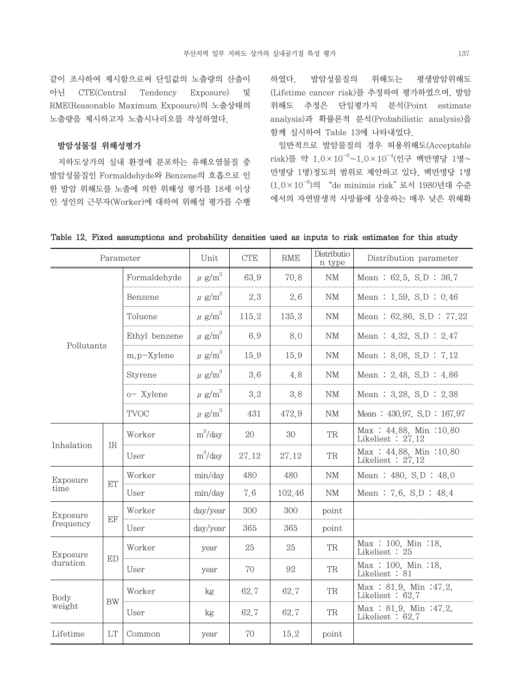같이 조사하여 제시함으로써 단일값의 노출량의 산출이 아닌 CTE(Central Tendency Exposure) 및 RME(Reasonable Maximum Exposure)의 노출상태의 노출량을 제시하고자 노출시나리오를 작성하였다.

# 발암성물질 위해성평가

 지하도상가의 실내 환경에 분포하는 유해오염물질 중 발암성물질인 Formaldehyde와 Benzene의 호흡으로 인 한 발암 위해도를 노출에 의한 위해성 평가를 18세 이상 인 성인의 근무자(Worker)에 대하여 위해성 평가를 수행 하였다. 발암성물질의 위해도는 평생발암위해도 (Lifetime cancer risk)를 추정하여 평가하였으며, 발암 위해도 추정은 단일평가치 분석(Point estimate analysis)과 확률론적 분석(Probabilistic analysis)을 함께 실시하여 Table 13에 나타내었다.

 일반적으로 발암물질의 경우 허용위해도(Acceptable  $risk$ )를 약  $1.0 \times 10^{-6} \sim 1.0 \times 10^{-4}$ (인구 백만명당 1명~ 만명당 1명)정도의 범위로 제안하고 있다. 백만명당 1명  $(1.0 \times 10^{-6})$ 의 "de minimis risk" 로서 1980년대 수준 에서의 자연발생적 사망률에 상응하는 매우 낮은 위해확

| Parameter      |           |                | Unit                   | <b>CTE</b> | RME    | Distributio<br>n type | Distribution parameter                        |
|----------------|-----------|----------------|------------------------|------------|--------|-----------------------|-----------------------------------------------|
|                |           | Formaldehyde   | $\mu$ g/m <sup>3</sup> | 63.9       | 70.8   | NΜ                    | Mean: $62.5$ , S.D: $36.7$                    |
|                |           | Benzene        | $\mu$ g/m <sup>3</sup> | 2.3        | 2.6    | <b>NM</b>             | Mean: $1.59$ , S.D: $0.46$                    |
|                |           | Toluene        | $\mu$ g/m $^3$         | 115.2      | 135.3  | NM                    | Mean: $62,86$ , S.D: $77,22$                  |
|                |           | Ethyl benzene  | $\mu$ g/m $^3$         | 6.9        | 8.0    | NM                    | Mean: $4.32$ , S.D: $2.47$                    |
| Pollutants     |           | $m, p$ -Xylene | $\mu$ g/m <sup>3</sup> | 15.9       | 15.9   | NM                    | Mean: 8.08, S.D: 7.12                         |
|                |           | Styrene        | $\mu$ g/m $^3$         | 3.6        | 4.8    | $\mathrm{NM}$         | Mean: $2.48$ , S.D: $4.86$                    |
|                |           | o- Xylene      | $\mu$ g/m $^3$         | 3.2        | 3.8    | NM                    | Mean: $3.28$ , S.D: $2.38$                    |
|                |           | <b>TVOC</b>    | $\mu$ g/m <sup>3</sup> | 431        | 472.9  | NM                    | Mean: $430.97$ , S.D: $167.97$                |
|                |           | Worker         | $m^3$ /day             | 20         | 30     | <b>TR</b>             | Max: 44.88, Min: 10.80<br>Likeliest $: 27.12$ |
| Inhalation     | <b>IR</b> | User           | $m^3$ /day             | 27.12      | 27.12  | <b>TR</b>             | Max: 44.88, Min: 10.80<br>Likeliest $: 27.12$ |
| Exposure       |           | Worker         | min/day                | 480        | 480    | NM                    | Mean: $480, S.D.: 48.0$                       |
| time           | ET        | User           | min/day                | 7.6        | 102.46 | NM                    | Mean: 7.6, S.D: $48.4$                        |
| Exposure       | EF        | Worker         | day/year               | 300        | 300    | point                 |                                               |
| frequency      |           | User           | day/year               | 365        | 365    | point                 |                                               |
| Exposure       | <b>ED</b> | Worker         | year                   | 25         | 25     | <b>TR</b>             | Max: 100, Min: 18,<br>Likeliest : 25          |
| duration       |           | User           | year                   | 70         | 92     | TR                    | Max: 100, Min: 18,<br>Likeliest : 81          |
| Body<br>weight |           | Worker         | kg                     | 62.7       | 62.7   | <b>TR</b>             | Max : 81.9, Min : 47.2,<br>Likeliest $: 62.7$ |
|                | <b>BW</b> | User           | kg                     | 62.7       | 62.7   | TR                    | Max : 81.9, Min : 47.2,<br>Likeliest $: 62.7$ |
| Lifetime       | LT        | Common         | year                   | 70         | 15.2   | point                 |                                               |

# Table 12. Fixed assumptions and probability densities used as inputs to risk estimates for this study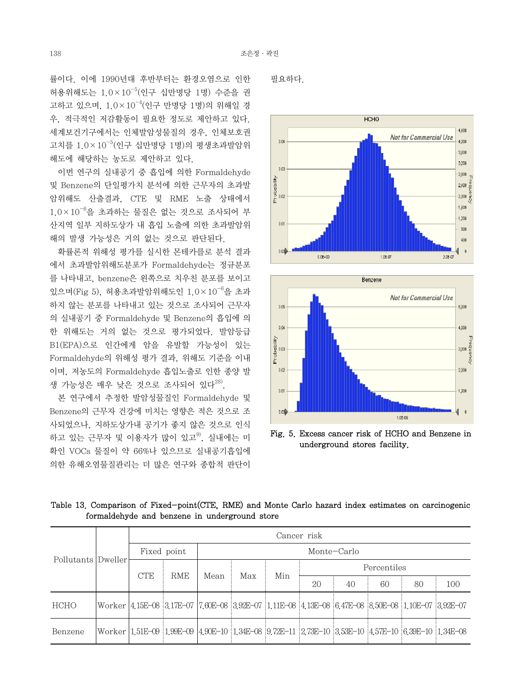률이다. 이에 1990년대 후반부터는 환경오염으로 인한 허용위해도는 1.0×10-5(인구 십만명당 1명) 수준을 권 고하고 있으며, 1.0×10-4(인구 만명당 1명)의 위해일 경 우, 적극적인 저감활동이 필요한 정도로 제안하고 있다. 세계보건기구에서는 인체발암성물질의 경우, 인체보호권 고치를  $1.0 \times 10^{-5}$ (인구 십만명당 1명)의 평생초과발암위 해도에 해당하는 농도로 제안하고 있다.

 이번 연구의 실내공기 중 흡입에 의한 Formaldehyde 및 Benzene의 단일평가치 분석에 의한 근무자의 초과발 암위해도 산출결과, CTE 및 RME 노출 상태에서  $1.0 \times 10^{-6}$ 을 초과하는 물질은 없는 것으로 조사되어 부 산지역 일부 지하도상가 내 흡입 노출에 의한 초과발암위 해의 발생 가능성은 거의 없는 것으로 판단된다.

 확률론적 위해성 평가를 실시한 몬테카를로 분석 결과 에서 초과발암위해도분포가 Formaldehyde는 정규분포 를 나타내고, benzene은 왼쪽으로 치우친 분포를 보이고 있으며(Fig 5), 허용초과발암위해도인 1.0×10-6을 초과 하지 않는 분포를 나타내고 있는 것으로 조사되어 근무자 의 실내공기 중 Formaldehyde 및 Benzene의 흡입에 의 한 위해도는 거의 없는 것으로 평가되었다. 발암등급 B1(EPA)으로 인간에게 암을 유발할 가능성이 있는 Formaldehyde의 위해성 평가 결과, 위해도 기준을 이내 이며, 저농도의 Formaldehyde 흡입노출로 인한 종양 발 생 가능성은 매우 낮은 것으로 조사되어 있다<sup>28)</sup>.

 본 연구에서 추정한 발암성물질인 Formaldehyde 및 Benzene의 근무자 건강에 미치는 영향은 적은 것으로 조 사되었으나, 지하도상가내 공기가 좋지 않은 것으로 인식 하고 있는 근무자 및 이용자가 많이 있고<sup>9)</sup>. 실내에는 미 확인 VOCs 물질이 약 66%나 있으므로 실내공기흡입에 의한 유해오염물질관리는 더 많은 연구와 종합적 판단이

필요하다.





Fig. 5. Excess cancer risk of HCHO and Benzene in underground stores facility.

Table 13. Comparison of Fixed-point(CTE, RME) and Monte Carlo hazard index estimates on carcinogenic formaldehyde and benzene in underground store

| Pollutants | Dweller | Cancer risk |            |             |     |     |                                                                                                                      |    |    |    |     |  |
|------------|---------|-------------|------------|-------------|-----|-----|----------------------------------------------------------------------------------------------------------------------|----|----|----|-----|--|
|            |         | Fixed point |            | Monte-Carlo |     |     |                                                                                                                      |    |    |    |     |  |
|            |         | <b>CTE</b>  | <b>RME</b> | Mean        | Max | Min | Percentiles                                                                                                          |    |    |    |     |  |
|            |         |             |            |             |     |     | 20                                                                                                                   | 40 | 60 | 80 | 100 |  |
| HCHO       |         |             |            |             |     |     | Worker 4 15E-08 3 17E-07 7 60E-08 3 92E-07 1 11E-08 4 13E-08 6 47E-08 8 50E-08 1 10E-07 3 92E-07                     |    |    |    |     |  |
| Benzene    |         |             |            |             |     |     | Worker   1,51E-09   1,99E-09   4,90E-10   1,34E-08   9,72E-11   2,73E-10   3,53E-10   4,57E-10   6,39E-10   1,34E-08 |    |    |    |     |  |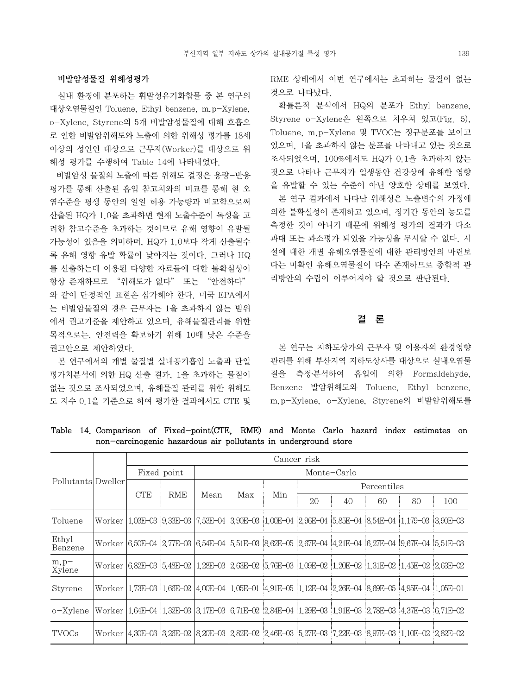# 비발암성물질 위해성평가

 실내 환경에 분포하는 휘발성유기화합물 중 본 연구의 대상오염물질인 Toluene, Ethyl benzene, m,p-Xylene, o-Xylene, Styrene의 5개 비발암성물질에 대해 호흡으 로 인한 비발암위해도와 노출에 의한 위해성 평가를 18세 이상의 성인인 대상으로 근무자(Worker)를 대상으로 위 해성 평가를 수행하여 Table 14에 나타내었다.

 비발암성 물질의 노출에 따른 위해도 결정은 용량-반응 평가를 통해 산출된 흡입 참고치와의 비교를 통해 현 오 염수준을 평생 동안의 일일 허용 가능량과 비교함으로써 산출된 HQ가 1.0을 초과하면 현재 노출수준이 독성을 고 려한 참고수준을 초과하는 것이므로 유해 영향이 유발될 가능성이 있음을 의미하며, HQ가 1.0보다 작게 산출될수 록 유해 영향 유발 확률이 낮아지는 것이다. 그러나 HQ 를 산출하는데 이용된 다양한 자료들에 대한 불확실성이 항상 존재하므로 "위해도가 없다" 또는 "안전하다" 와 같이 단정적인 표현은 삼가해야 한다. 미국 EPA에서 는 비발암물질의 경우 근무자는 1을 초과하지 않는 범위 에서 권고기준을 제안하고 있으며, 유해물질관리를 위한 목적으로는, 안전력을 확보하기 위해 10배 낮은 수준을 권고안으로 제안하였다.

 본 연구에서의 개별 물질별 실내공기흡입 노출과 단일 평가치분석에 의한 HQ 산출 결과, 1을 초과하는 물질이 없는 것으로 조사되었으며, 유해물질 관리를 위한 위해도 도 지수 0.1을 기준으로 하여 평가한 결과에서도 CTE 및 RME 상태에서 이번 연구에서는 초과하는 물질이 없는 것으로 나타났다.

 확률론적 분석에서 HQ의 분포가 Ethyl benzene, Styrene o-Xylene은 왼쪽으로 치우쳐 있고(Fig. 5), Toluene, m,p-Xylene 및 TVOC는 정규분포를 보이고 있으며, 1을 초과하지 않는 분포를 나타내고 있는 것으로 조사되었으며, 100%에서도 HQ가 0.1을 초과하지 않는 것으로 나타나 근무자가 일생동안 건강상에 유해한 영향 을 유발할 수 있는 수준이 아닌 양호한 상태를 보였다. 본 연구 결과에서 나타난 위해성은 노출변수의 가정에 의한 불확실성이 존재하고 있으며, 장기간 동안의 농도를 측정한 것이 아니기 때문에 위해성 평가의 결과가 다소 과대 또는 과소평가 되었을 가능성을 무시할 수 없다. 시 설에 대한 개별 유해오염물질에 대한 관리방안의 마련보 다는 미확인 유해오염물질이 다수 존재하므로 종합적 관 리방안의 수립이 이루어져야 할 것으로 판단된다.

# 결 론

 본 연구는 지하도상가의 근무자 및 이용자의 환경영향 관리를 위해 부산지역 지하도상사를 대상으로 실내오염물 질을 측정․분석하여 흡입에 의한 Formaldehyde, Benzene 발암위해도와 Toluene, Ethyl benzene, m,p-Xylene, o-Xylene, Styrene의 비발암위해도를

Table 14. Comparison of Fixed-point(CTE, RME) and Monte Carlo hazard index estimates on non-carcinogenic hazardous air pollutants in underground store

|                    |          | Cancer risk |            |             |     |     |                                                                                                                      |    |    |    |     |  |  |
|--------------------|----------|-------------|------------|-------------|-----|-----|----------------------------------------------------------------------------------------------------------------------|----|----|----|-----|--|--|
| Pollutants Dweller |          | Fixed point |            | Monte-Carlo |     |     |                                                                                                                      |    |    |    |     |  |  |
|                    |          | <b>CTE</b>  | <b>RME</b> | Mean        | Max | Min | Percentiles                                                                                                          |    |    |    |     |  |  |
|                    |          |             |            |             |     |     | 20                                                                                                                   | 40 | 60 | 80 | 100 |  |  |
| Toluene            | Worker l |             |            |             |     |     | $1.03E-03$ 9.33E-03 7.53E-04 3.90E-03 1.00E-04 2.96E-04 5.85E-04 8.54E-04 1.179-03 3.90E-03                          |    |    |    |     |  |  |
| Ethyl<br>Benzene   |          |             |            |             |     |     | Worker   6,50E-04   2,77E-03   6,54E-04   5,51E-03   8,62E-05   2,67E-04   4,21E-04   6,27E-04   9,67E-04   5,51E-03 |    |    |    |     |  |  |
| $m, p-$<br>Xylene  |          |             |            |             |     |     | Worker 6.82E-03 5.48E-02 1.28E-03 2.63E-02 5.76E-03 1.09E-02 1.20E-02 1.31E-02 1.45E-02 2.63E-02                     |    |    |    |     |  |  |
| Styrene            | Worker   |             |            |             |     |     | $1.73E-03$ $1.66E-02$ $4.00E-04$ $1.05E-01$ $4.91E-05$ $1.12E-04$ $2.26E-04$ $8.69E-05$ $4.95E-04$ $1.05E-01$        |    |    |    |     |  |  |
| o-Xylene           |          |             |            |             |     |     | Worker   1,64E-04   1,32E-03   3,17E-03   6,71E-02   2,84E-04   1,29E-03   1,91E-03   2,78E-03   4,37E-03   6,71E-02 |    |    |    |     |  |  |
| <b>TVOCs</b>       |          |             |            |             |     |     | Worker  4,30E-03  3,26E-02  8,20E-03  2,82E-02  2,46E-03  5,27E-03  7,22E-03  8,97E-03  1,10E-02  2,82E-02           |    |    |    |     |  |  |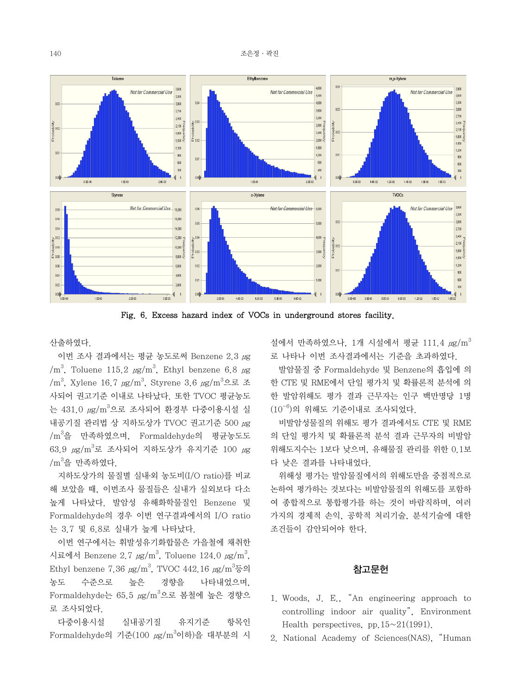

Fig. 6. Excess hazard index of VOCs in underground stores facility.

산출하였다.

 이번 조사 결과에서는 평균 농도로써 Benzene 2.3 μg  $/m<sup>3</sup>$ , Toluene 115.2  $\mu$ g/m<sup>3</sup>, Ethyl benzene 6.8  $\mu$ g  $\rm{M}^3$ , Xylene 16.7  $\rm{\mu g/m}^3$ , Styrene 3.6  $\rm{\mu g/m}^3$ 으로 조 사되어 권고기준 이내로 나타났다. 또한 TVOC 평균농도 는 431.0  $\mu{\rm g}/{\rm m}^3$ 으로 조사되어 환경부 다중이용시설 실 내공기질 관리법 상 지하도상가 TVOC 권고기준 500 μg /m<sup>3</sup>을 만족하였으며, Formaldehyde의 평균농도도  $63.9 \text{ }\mu\text{g}/\text{m}^3$ 로 조사되어 지하도상가 유지기준 100  $\mu\text{g}$  $\rm /m^3$ 을 만족하였다.

 지하도상가의 물질별 실내․외 농도비(I/O ratio)를 비교 해 보았을 때, 이번조사 물질들은 실내가 실외보다 다소 높게 나타났다. 발암성 유해화학물질인 Benzene 및 Formaldehyde의 경우 이번 연구결과에서의 I/O ratio 는 3.7 및 6.8로 실내가 높게 나타났다.

 이번 연구에서는 휘발성유기화합물은 가을철에 채취한 시료에서 Benzene 2.7  $\mu$ g/m $^3$ , Toluene 124.0  $\mu$ g/m $^3$ , Ethyl benzene 7.36  $\mu$ g/m $^3$ , TVOC 442.16  $\mu$ g/m $^3$ 등의 농도 수준으로 높은 경향을 나타내었으며, Formaldehyde는 65.5  $\mu{\rm g}/{\rm m}^3$ 으로 봄철에 높은 경향으 로 조사되었다.

 다중이용시설 실내공기질 유지기준 항목인 Formaldehyde의 기준(100  $\mu\text{g}/\text{m}^3$ 이하)을 대부분의 시 설에서 만족하였으나, 1개 시설에서 평균 111.4  $\mu$ g/m<sup>3</sup> 로 나타나 이번 조사결과에서는 기준을 초과하였다.

 발암물질 중 Formaldehyde 및 Benzene의 흡입에 의 한 CTE 및 RME에서 단일 평가치 및 확률론적 분석에 의 한 발암위해도 평가 결과 근무자는 인구 백만명당 1명  $(10^{-6})$ 의 위해도 기준이내로 조사되었다.

 비발암성물질의 위해도 평가 결과에서도 CTE 및 RME 의 단일 평가치 및 확률론적 분석 결과 근무자의 비발암 위해도지수는 1보다 낮으며, 유해물질 관리를 위한 0.1보 다 낮은 결과를 나타내었다.

 위해성 평가는 발암물질에서의 위해도만을 중점적으로 논하여 평가하는 것보다는 비발암물질의 위해도를 포함하 여 종합적으로 통합평가를 하는 것이 바람직하며, 여러 가지의 경제적 손익, 공학적 처리기술, 분석기술에 대한 조건들이 감안되어야 한다.

# 참고문헌

- 1. Woods, J. E., "An engineering approach to controlling indoor air quality", Environment Health perspectives, pp.  $15 \sim 21(1991)$ .
- 2. National Academy of Sciences(NAS), "Human